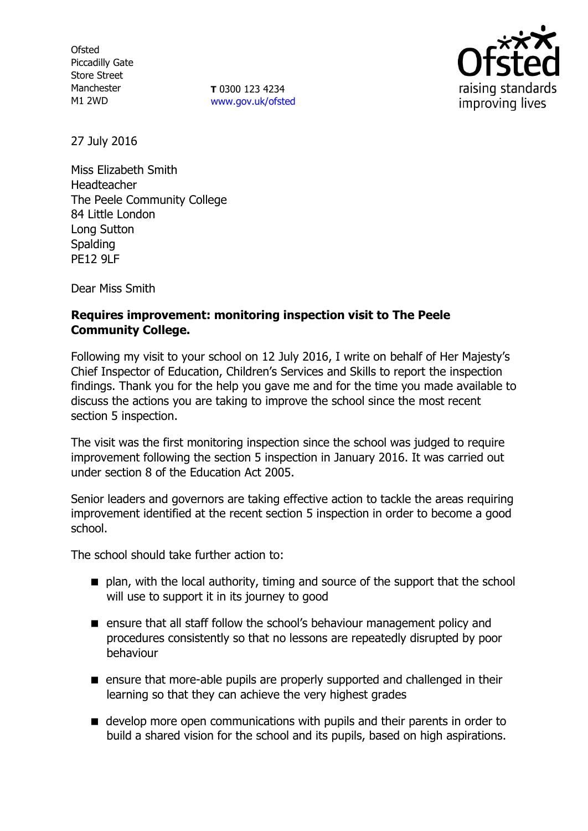**Ofsted** Piccadilly Gate Store Street Manchester M1 2WD

**T** 0300 123 4234 [www.gov.uk/ofsted](http://www.gov.uk/ofsted)



27 July 2016

Miss Elizabeth Smith Headteacher The Peele Community College 84 Little London Long Sutton **Spalding** PE12 9LF

Dear Miss Smith

# **Requires improvement: monitoring inspection visit to The Peele Community College.**

Following my visit to your school on 12 July 2016, I write on behalf of Her Majesty's Chief Inspector of Education, Children's Services and Skills to report the inspection findings. Thank you for the help you gave me and for the time you made available to discuss the actions you are taking to improve the school since the most recent section 5 inspection.

The visit was the first monitoring inspection since the school was judged to require improvement following the section 5 inspection in January 2016. It was carried out under section 8 of the Education Act 2005.

Senior leaders and governors are taking effective action to tackle the areas requiring improvement identified at the recent section 5 inspection in order to become a good school.

The school should take further action to:

- $\blacksquare$  plan, with the local authority, timing and source of the support that the school will use to support it in its journey to good
- **E** ensure that all staff follow the school's behaviour management policy and procedures consistently so that no lessons are repeatedly disrupted by poor behaviour
- **E** ensure that more-able pupils are properly supported and challenged in their learning so that they can achieve the very highest grades
- $\blacksquare$  develop more open communications with pupils and their parents in order to build a shared vision for the school and its pupils, based on high aspirations.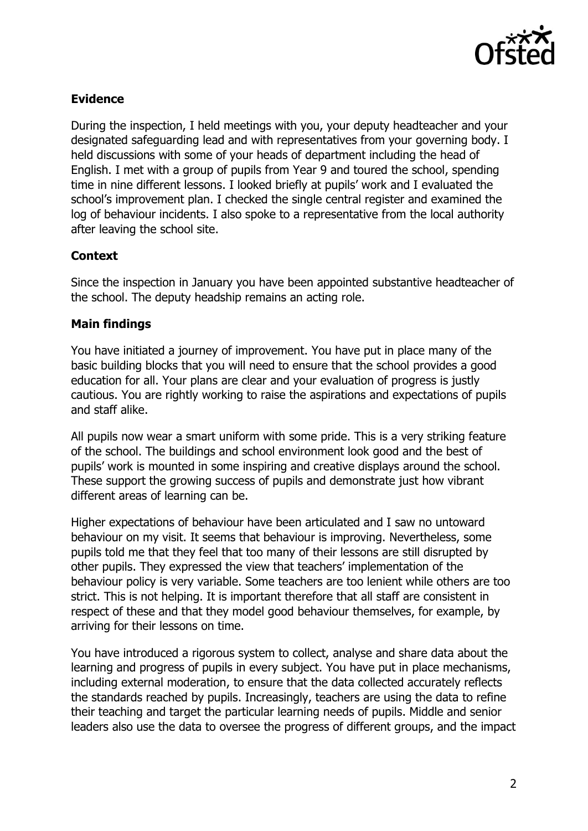

### **Evidence**

During the inspection, I held meetings with you, your deputy headteacher and your designated safeguarding lead and with representatives from your governing body. I held discussions with some of your heads of department including the head of English. I met with a group of pupils from Year 9 and toured the school, spending time in nine different lessons. I looked briefly at pupils' work and I evaluated the school's improvement plan. I checked the single central register and examined the log of behaviour incidents. I also spoke to a representative from the local authority after leaving the school site.

# **Context**

Since the inspection in January you have been appointed substantive headteacher of the school. The deputy headship remains an acting role.

# **Main findings**

You have initiated a journey of improvement. You have put in place many of the basic building blocks that you will need to ensure that the school provides a good education for all. Your plans are clear and your evaluation of progress is justly cautious. You are rightly working to raise the aspirations and expectations of pupils and staff alike.

All pupils now wear a smart uniform with some pride. This is a very striking feature of the school. The buildings and school environment look good and the best of pupils' work is mounted in some inspiring and creative displays around the school. These support the growing success of pupils and demonstrate just how vibrant different areas of learning can be.

Higher expectations of behaviour have been articulated and I saw no untoward behaviour on my visit. It seems that behaviour is improving. Nevertheless, some pupils told me that they feel that too many of their lessons are still disrupted by other pupils. They expressed the view that teachers' implementation of the behaviour policy is very variable. Some teachers are too lenient while others are too strict. This is not helping. It is important therefore that all staff are consistent in respect of these and that they model good behaviour themselves, for example, by arriving for their lessons on time.

You have introduced a rigorous system to collect, analyse and share data about the learning and progress of pupils in every subject. You have put in place mechanisms, including external moderation, to ensure that the data collected accurately reflects the standards reached by pupils. Increasingly, teachers are using the data to refine their teaching and target the particular learning needs of pupils. Middle and senior leaders also use the data to oversee the progress of different groups, and the impact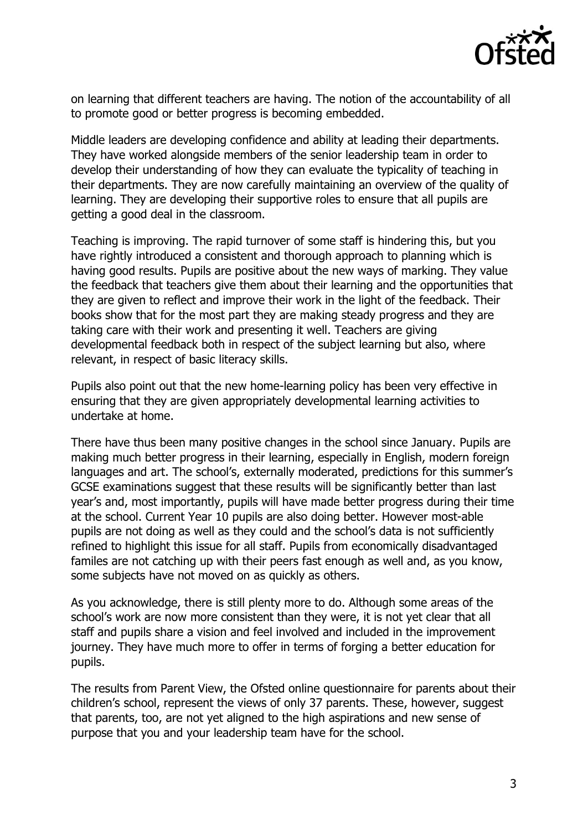

on learning that different teachers are having. The notion of the accountability of all to promote good or better progress is becoming embedded.

Middle leaders are developing confidence and ability at leading their departments. They have worked alongside members of the senior leadership team in order to develop their understanding of how they can evaluate the typicality of teaching in their departments. They are now carefully maintaining an overview of the quality of learning. They are developing their supportive roles to ensure that all pupils are getting a good deal in the classroom.

Teaching is improving. The rapid turnover of some staff is hindering this, but you have rightly introduced a consistent and thorough approach to planning which is having good results. Pupils are positive about the new ways of marking. They value the feedback that teachers give them about their learning and the opportunities that they are given to reflect and improve their work in the light of the feedback. Their books show that for the most part they are making steady progress and they are taking care with their work and presenting it well. Teachers are giving developmental feedback both in respect of the subject learning but also, where relevant, in respect of basic literacy skills.

Pupils also point out that the new home-learning policy has been very effective in ensuring that they are given appropriately developmental learning activities to undertake at home.

There have thus been many positive changes in the school since January. Pupils are making much better progress in their learning, especially in English, modern foreign languages and art. The school's, externally moderated, predictions for this summer's GCSE examinations suggest that these results will be significantly better than last year's and, most importantly, pupils will have made better progress during their time at the school. Current Year 10 pupils are also doing better. However most-able pupils are not doing as well as they could and the school's data is not sufficiently refined to highlight this issue for all staff. Pupils from economically disadvantaged familes are not catching up with their peers fast enough as well and, as you know, some subjects have not moved on as quickly as others.

As you acknowledge, there is still plenty more to do. Although some areas of the school's work are now more consistent than they were, it is not yet clear that all staff and pupils share a vision and feel involved and included in the improvement journey. They have much more to offer in terms of forging a better education for pupils.

The results from Parent View, the Ofsted online questionnaire for parents about their children's school, represent the views of only 37 parents. These, however, suggest that parents, too, are not yet aligned to the high aspirations and new sense of purpose that you and your leadership team have for the school.